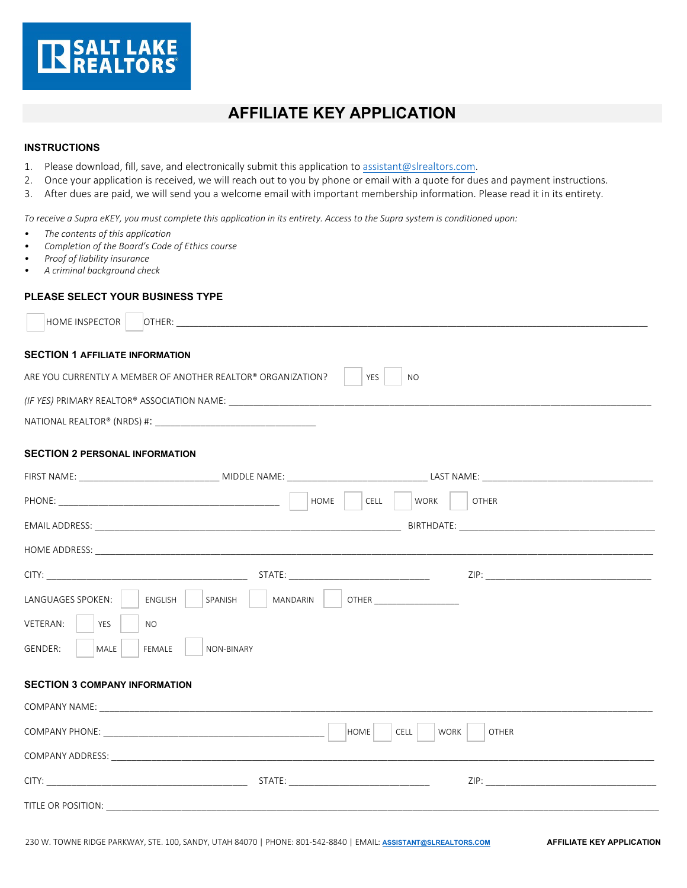

# **AFFILIATE KEY APPLICATION**

### **INSTRUCTIONS**

- 1. Please download, fill, save, and electronically submit this application to [assistant@slrealtors.com.](mailto:assistant@slrealtors.com)
- 2. Once your application is received, we will reach out to you by phone or email with a quote for dues and payment instructions.
- 3. After dues are paid, we will send you a welcome email with important membership information. Please read it in its entirety.

*To receive a Supra eKEY, you must complete this application in its entirety. Access to the Supra system is conditioned upon:*

- *The contents of this application*
- *Completion of the Board's Code of Ethics course*
- *Proof of liability insurance*
- *A criminal background check*

## **PLEASE SELECT YOUR BUSINESS TYPE**

| HOME INSPECTOR                                                                          |                                     |                                                                                                                                                                                                                                |  |  |
|-----------------------------------------------------------------------------------------|-------------------------------------|--------------------------------------------------------------------------------------------------------------------------------------------------------------------------------------------------------------------------------|--|--|
| <b>SECTION 1 AFFILIATE INFORMATION</b>                                                  |                                     |                                                                                                                                                                                                                                |  |  |
| ARE YOU CURRENTLY A MEMBER OF ANOTHER REALTOR® ORGANIZATION?<br><b>YES</b><br><b>NO</b> |                                     |                                                                                                                                                                                                                                |  |  |
|                                                                                         |                                     |                                                                                                                                                                                                                                |  |  |
|                                                                                         |                                     |                                                                                                                                                                                                                                |  |  |
| <b>SECTION 2 PERSONAL INFORMATION</b>                                                   |                                     |                                                                                                                                                                                                                                |  |  |
|                                                                                         |                                     |                                                                                                                                                                                                                                |  |  |
|                                                                                         | HOME<br>CELL<br><b>WORK</b>         | <b>OTHER</b>                                                                                                                                                                                                                   |  |  |
|                                                                                         |                                     |                                                                                                                                                                                                                                |  |  |
|                                                                                         |                                     |                                                                                                                                                                                                                                |  |  |
|                                                                                         |                                     |                                                                                                                                                                                                                                |  |  |
| LANGUAGES SPOKEN:<br>SPANISH<br>ENGLISH                                                 | MANDARIN<br><b>OTHER CONTROLLER</b> |                                                                                                                                                                                                                                |  |  |
| VETERAN:<br><b>YES</b><br>NO.                                                           |                                     |                                                                                                                                                                                                                                |  |  |
| <b>GENDER:</b><br><b>MALE</b><br><b>FEMALE</b><br><b>NON-BINARY</b>                     |                                     |                                                                                                                                                                                                                                |  |  |
|                                                                                         |                                     |                                                                                                                                                                                                                                |  |  |
| <b>SECTION 3 COMPANY INFORMATION</b>                                                    |                                     |                                                                                                                                                                                                                                |  |  |
|                                                                                         |                                     |                                                                                                                                                                                                                                |  |  |
| HOME<br><b>CELL</b><br><b>WORK</b><br><b>OTHER</b>                                      |                                     |                                                                                                                                                                                                                                |  |  |
|                                                                                         |                                     | ZIP: The contract of the contract of the contract of the contract of the contract of the contract of the contract of the contract of the contract of the contract of the contract of the contract of the contract of the contr |  |  |
|                                                                                         |                                     |                                                                                                                                                                                                                                |  |  |

TITLE OR POSITION: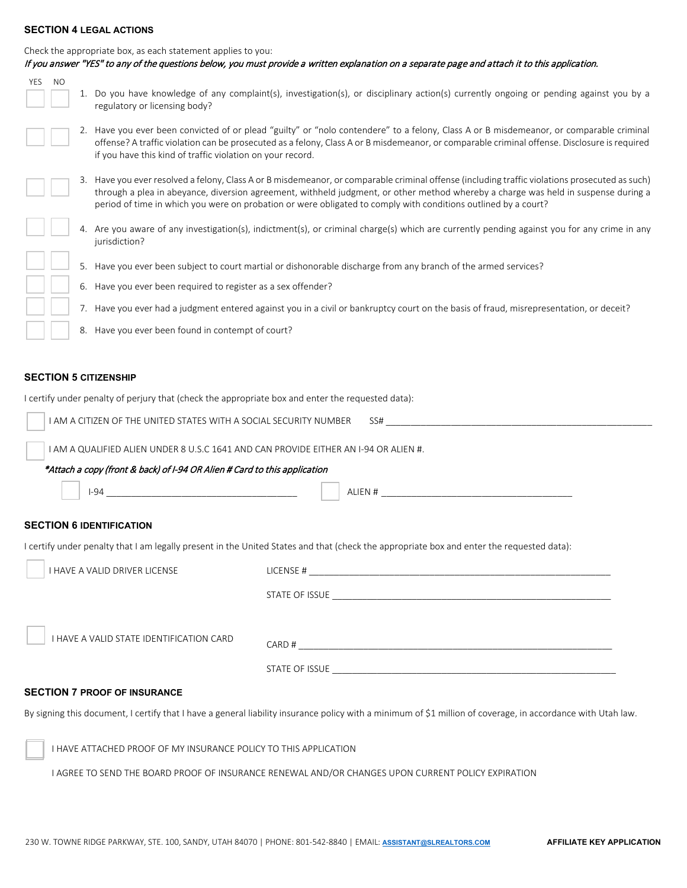#### **SECTION 4 LEGAL ACTIONS**

| Check the appropriate box, as each statement applies to you:                                                                                                                                                                                   | If you answer "YES" to any of the questions below, you must provide a written explanation on a separate page and attach it to this application.                                                                                                                                                                                                                                                        |  |  |
|------------------------------------------------------------------------------------------------------------------------------------------------------------------------------------------------------------------------------------------------|--------------------------------------------------------------------------------------------------------------------------------------------------------------------------------------------------------------------------------------------------------------------------------------------------------------------------------------------------------------------------------------------------------|--|--|
| <b>YES</b><br>NO<br>regulatory or licensing body?                                                                                                                                                                                              | 1. Do you have knowledge of any complaint(s), investigation(s), or disciplinary action(s) currently ongoing or pending against you by a                                                                                                                                                                                                                                                                |  |  |
| if you have this kind of traffic violation on your record.                                                                                                                                                                                     | 2. Have you ever been convicted of or plead "guilty" or "nolo contendere" to a felony, Class A or B misdemeanor, or comparable criminal<br>offense? A traffic violation can be prosecuted as a felony, Class A or B misdemeanor, or comparable criminal offense. Disclosure is required                                                                                                                |  |  |
|                                                                                                                                                                                                                                                | 3. Have you ever resolved a felony, Class A or B misdemeanor, or comparable criminal offense (including traffic violations prosecuted as such)<br>through a plea in abeyance, diversion agreement, withheld judgment, or other method whereby a charge was held in suspense during a<br>period of time in which you were on probation or were obligated to comply with conditions outlined by a court? |  |  |
| jurisdiction?                                                                                                                                                                                                                                  | 4. Are you aware of any investigation(s), indictment(s), or criminal charge(s) which are currently pending against you for any crime in any                                                                                                                                                                                                                                                            |  |  |
|                                                                                                                                                                                                                                                | 5. Have you ever been subject to court martial or dishonorable discharge from any branch of the armed services?                                                                                                                                                                                                                                                                                        |  |  |
|                                                                                                                                                                                                                                                | 6. Have you ever been required to register as a sex offender?                                                                                                                                                                                                                                                                                                                                          |  |  |
|                                                                                                                                                                                                                                                | 7. Have you ever had a judgment entered against you in a civil or bankruptcy court on the basis of fraud, misrepresentation, or deceit?                                                                                                                                                                                                                                                                |  |  |
|                                                                                                                                                                                                                                                | 8. Have you ever been found in contempt of court?                                                                                                                                                                                                                                                                                                                                                      |  |  |
| I AM A CITIZEN OF THE UNITED STATES WITH A SOCIAL SECURITY NUMBER<br>I AM A QUALIFIED ALIEN UNDER 8 U.S.C 1641 AND CAN PROVIDE EITHER AN I-94 OR ALIEN #.<br>*Attach a copy (front & back) of I-94 OR Alien # Card to this application<br>I-94 | SS#<br>ALIEN #                                                                                                                                                                                                                                                                                                                                                                                         |  |  |
| <b>SECTION 6 IDENTIFICATION</b>                                                                                                                                                                                                                |                                                                                                                                                                                                                                                                                                                                                                                                        |  |  |
|                                                                                                                                                                                                                                                | I certify under penalty that I am legally present in the United States and that (check the appropriate box and enter the requested data):                                                                                                                                                                                                                                                              |  |  |
| I HAVE A VALID DRIVER LICENSE                                                                                                                                                                                                                  |                                                                                                                                                                                                                                                                                                                                                                                                        |  |  |
|                                                                                                                                                                                                                                                |                                                                                                                                                                                                                                                                                                                                                                                                        |  |  |
| I HAVE A VALID STATE IDENTIFICATION CARD                                                                                                                                                                                                       |                                                                                                                                                                                                                                                                                                                                                                                                        |  |  |
| <b>SECTION 7 PROOF OF INSURANCE</b>                                                                                                                                                                                                            |                                                                                                                                                                                                                                                                                                                                                                                                        |  |  |
|                                                                                                                                                                                                                                                | By signing this document, I certify that I have a general liability insurance policy with a minimum of \$1 million of coverage, in accordance with Utah law.                                                                                                                                                                                                                                           |  |  |
| I HAVE ATTACHED PROOF OF MY INSURANCE POLICY TO THIS APPLICATION                                                                                                                                                                               |                                                                                                                                                                                                                                                                                                                                                                                                        |  |  |
|                                                                                                                                                                                                                                                | I AGREE TO SEND THE BOARD PROOF OF INSURANCE RENEWAL AND/OR CHANGES UPON CURRENT POLICY EXPIRATION                                                                                                                                                                                                                                                                                                     |  |  |